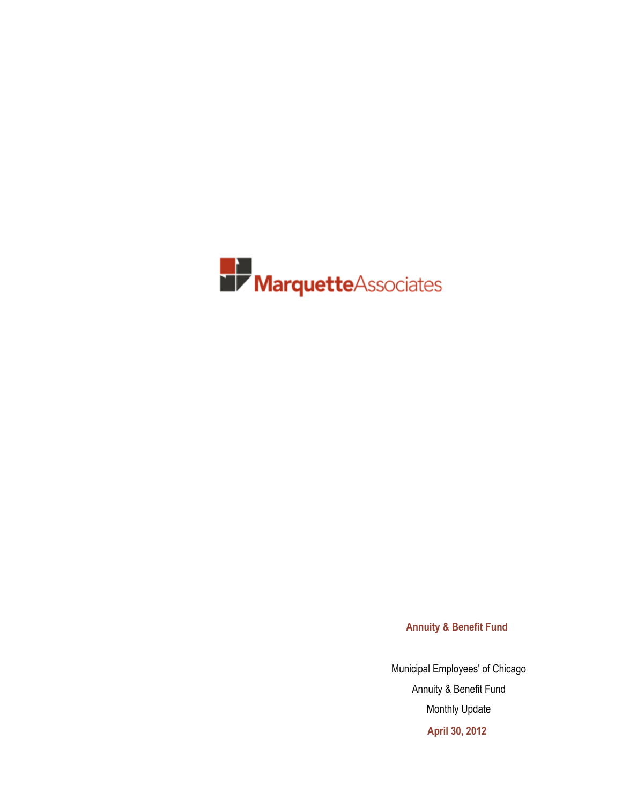

**Annuity & Benefit Fund**

Municipal Employees' of Chicago Annuity & Benefit Fund Monthly Update **April 30, 2012**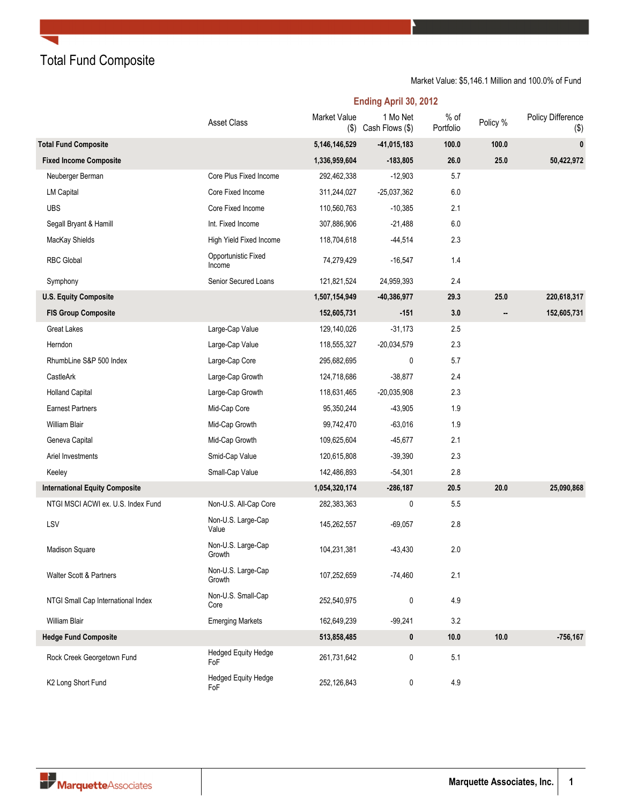Total Fund Composite

### Market Value: \$5,146.1 Million and 100.0% of Fund

**Ending April 30, 2012**

|                                       | <b>Asset Class</b>                | Market Value<br>$($ \$) | 1 Mo Net<br>Cash Flows (\$) | $%$ of<br>Portfolio | Policy % | Policy Difference<br>$(\$)$ |
|---------------------------------------|-----------------------------------|-------------------------|-----------------------------|---------------------|----------|-----------------------------|
| <b>Total Fund Composite</b>           |                                   | 5,146,146,529           | $-41,015,183$               | 100.0               | 100.0    | 0                           |
| <b>Fixed Income Composite</b>         |                                   | 1,336,959,604           | $-183,805$                  | 26.0                | 25.0     | 50,422,972                  |
| Neuberger Berman                      | Core Plus Fixed Income            | 292,462,338             | $-12,903$                   | 5.7                 |          |                             |
| <b>LM Capital</b>                     | Core Fixed Income                 | 311,244,027             | $-25,037,362$               | 6.0                 |          |                             |
| <b>UBS</b>                            | Core Fixed Income                 | 110,560,763             | $-10,385$                   | 2.1                 |          |                             |
| Segall Bryant & Hamill                | Int. Fixed Income                 | 307,886,906             | $-21,488$                   | 6.0                 |          |                             |
| MacKay Shields                        | High Yield Fixed Income           | 118,704,618             | $-44,514$                   | 2.3                 |          |                             |
| <b>RBC Global</b>                     | Opportunistic Fixed<br>Income     | 74,279,429              | $-16,547$                   | 1.4                 |          |                             |
| Symphony                              | Senior Secured Loans              | 121,821,524             | 24,959,393                  | 2.4                 |          |                             |
| <b>U.S. Equity Composite</b>          |                                   | 1,507,154,949           | $-40,386,977$               | 29.3                | 25.0     | 220,618,317                 |
| <b>FIS Group Composite</b>            |                                   | 152,605,731             | $-151$                      | 3.0                 |          | 152,605,731                 |
| <b>Great Lakes</b>                    | Large-Cap Value                   | 129,140,026             | $-31,173$                   | 2.5                 |          |                             |
| Herndon                               | Large-Cap Value                   | 118,555,327             | $-20,034,579$               | 2.3                 |          |                             |
| RhumbLine S&P 500 Index               | Large-Cap Core                    | 295,682,695             | 0                           | 5.7                 |          |                             |
| CastleArk                             | Large-Cap Growth                  | 124,718,686             | $-38,877$                   | 2.4                 |          |                             |
| <b>Holland Capital</b>                | Large-Cap Growth                  | 118,631,465             | $-20.035,908$               | 2.3                 |          |                             |
| <b>Earnest Partners</b>               | Mid-Cap Core                      | 95,350,244              | $-43,905$                   | 1.9                 |          |                             |
| <b>William Blair</b>                  | Mid-Cap Growth                    | 99,742,470              | $-63,016$                   | 1.9                 |          |                             |
| Geneva Capital                        | Mid-Cap Growth                    | 109,625,604             | $-45,677$                   | 2.1                 |          |                             |
| Ariel Investments                     | Smid-Cap Value                    | 120,615,808             | $-39,390$                   | 2.3                 |          |                             |
| Keeley                                | Small-Cap Value                   | 142,486,893             | $-54,301$                   | 2.8                 |          |                             |
| <b>International Equity Composite</b> |                                   | 1,054,320,174           | $-286,187$                  | 20.5                | 20.0     | 25,090,868                  |
| NTGI MSCI ACWI ex. U.S. Index Fund    | Non-U.S. All-Cap Core             | 282,383,363             | 0                           | 5.5                 |          |                             |
| LSV                                   | Non-U.S. Large-Cap<br>Value       | 145,262,557             | $-69,057$                   | 2.8                 |          |                             |
| <b>Madison Square</b>                 | Non-U.S. Large-Cap<br>Growth      | 104,231,381             | $-43,430$                   | 2.0                 |          |                             |
| Walter Scott & Partners               | Non-U.S. Large-Cap<br>Growth      | 107,252,659             | $-74,460$                   | 2.1                 |          |                             |
| NTGI Small Cap International Index    | Non-U.S. Small-Cap<br>Core        | 252,540,975             | 0                           | 4.9                 |          |                             |
| <b>William Blair</b>                  | <b>Emerging Markets</b>           | 162,649,239             | $-99,241$                   | 3.2                 |          |                             |
| <b>Hedge Fund Composite</b>           |                                   | 513,858,485             | $\pmb{0}$                   | 10.0                | 10.0     | $-756, 167$                 |
| Rock Creek Georgetown Fund            | <b>Hedged Equity Hedge</b><br>FoF | 261,731,642             | 0                           | 5.1                 |          |                             |
| K2 Long Short Fund                    | Hedged Equity Hedge<br>FoF        | 252,126,843             | 0                           | 4.9                 |          |                             |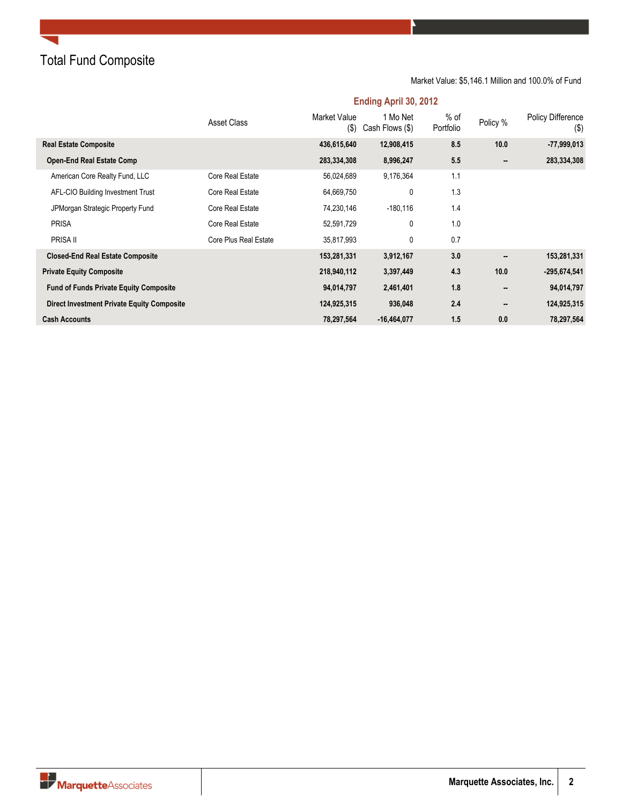### Total Fund Composite

### Market Value: \$5,146.1 Million and 100.0% of Fund

|                                                   | Asset Class           | <b>Market Value</b><br>$($ \$) | 1 Mo Net<br>Cash Flows (\$) | % of<br>Portfolio | Policy % | <b>Policy Difference</b><br>$(\$)$ |
|---------------------------------------------------|-----------------------|--------------------------------|-----------------------------|-------------------|----------|------------------------------------|
| <b>Real Estate Composite</b>                      |                       | 436,615,640                    | 12,908,415                  | 8.5               | 10.0     | $-77,999,013$                      |
| <b>Open-End Real Estate Comp</b>                  |                       | 283,334,308                    | 8,996,247                   | 5.5               |          | 283,334,308                        |
| American Core Realty Fund, LLC                    | Core Real Estate      | 56,024,689                     | 9,176,364                   | 1.1               |          |                                    |
| AFL-CIO Building Investment Trust                 | Core Real Estate      | 64,669,750                     | 0                           | 1.3               |          |                                    |
| JPMorgan Strategic Property Fund                  | Core Real Estate      | 74,230,146                     | $-180,116$                  | 1.4               |          |                                    |
| <b>PRISA</b>                                      | Core Real Estate      | 52,591,729                     | 0                           | 1.0               |          |                                    |
| PRISA II                                          | Core Plus Real Estate | 35,817,993                     | 0                           | 0.7               |          |                                    |
| <b>Closed-End Real Estate Composite</b>           |                       | 153,281,331                    | 3,912,167                   | 3.0               |          | 153,281,331                        |
| <b>Private Equity Composite</b>                   |                       | 218,940,112                    | 3,397,449                   | 4.3               | 10.0     | $-295,674,541$                     |
| <b>Fund of Funds Private Equity Composite</b>     |                       | 94,014,797                     | 2,461,401                   | 1.8               |          | 94,014,797                         |
| <b>Direct Investment Private Equity Composite</b> |                       | 124,925,315                    | 936,048                     | 2.4               |          | 124,925,315                        |
| <b>Cash Accounts</b>                              |                       | 78,297,564                     | $-16,464,077$               | 1.5               | 0.0      | 78,297,564                         |

### **Ending April 30, 2012**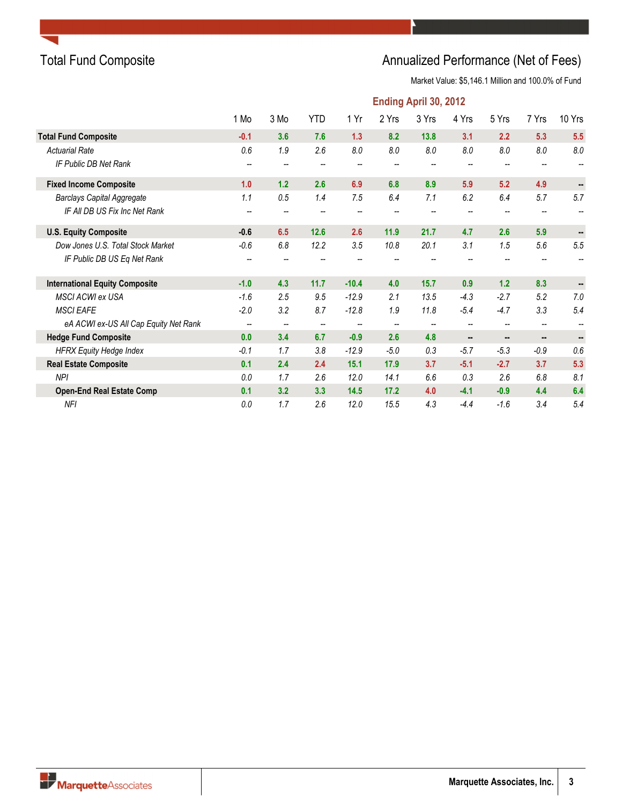### Total Fund Composite **Annualized Performance (Net of Fees)** Annualized Performance (Net of Fees)

|                                       |                          |                          |                          |         |        | <b>Ending April 30, 2012</b> |                          |                |                          |         |
|---------------------------------------|--------------------------|--------------------------|--------------------------|---------|--------|------------------------------|--------------------------|----------------|--------------------------|---------|
|                                       | 1 Mo                     | 3 Mo                     | <b>YTD</b>               | 1 Yr    | 2 Yrs  | 3 Yrs                        | 4 Yrs                    | 5 Yrs          | 7 Yrs                    | 10 Yrs  |
| <b>Total Fund Composite</b>           | $-0.1$                   | 3.6                      | 7.6                      | 1.3     | 8.2    | 13.8                         | 3.1                      | 2.2            | 5.3                      | 5.5     |
| <b>Actuarial Rate</b>                 | 0.6                      | 1.9                      | 2.6                      | 8.0     | 8.0    | 8.0                          | 8.0                      | 8.0            | 8.0                      | 8.0     |
| IF Public DB Net Rank                 |                          |                          |                          |         |        |                              |                          |                |                          |         |
| <b>Fixed Income Composite</b>         | 1.0                      | 1.2                      | 2.6                      | 6.9     | 6.8    | 8.9                          | 5.9                      | 5.2            | 4.9                      | н.      |
| <b>Barclays Capital Aggregate</b>     | 1.1                      | 0.5                      | 1.4                      | 7.5     | 6.4    | 7.1                          | 6.2                      | 6.4            | 5.7                      | 5.7     |
| IF All DB US Fix Inc Net Rank         |                          |                          |                          |         |        |                              |                          |                |                          |         |
| <b>U.S. Equity Composite</b>          | $-0.6$                   | 6.5                      | 12.6                     | 2.6     | 11.9   | 21.7                         | 4.7                      | 2.6            | 5.9                      |         |
| Dow Jones U.S. Total Stock Market     | $-0.6$                   | 6.8                      | 12.2                     | 3.5     | 10.8   | 20.1                         | 3.1                      | 1.5            | 5.6                      | $5.5\,$ |
| IF Public DB US Eq Net Rank           | $\overline{\phantom{m}}$ |                          |                          |         |        |                              |                          |                |                          | --      |
| <b>International Equity Composite</b> | $-1.0$                   | 4.3                      | 11.7                     | $-10.4$ | 4.0    | 15.7                         | 0.9                      | $1.2$          | 8.3                      | ۰.      |
| <b>MSCI ACWI ex USA</b>               | $-1.6$                   | 2.5                      | 9.5                      | $-12.9$ | 2.1    | 13.5                         | $-4.3$                   | $-2.7$         | 5.2                      | 7.0     |
| <b>MSCI EAFE</b>                      | $-2.0$                   | 3.2                      | 8.7                      | $-12.8$ | 1.9    | 11.8                         | $-5.4$                   | $-4.7$         | 3.3                      | 5.4     |
| eA ACWI ex-US All Cap Equity Net Rank | $\overline{\phantom{a}}$ | $\overline{\phantom{a}}$ | $\overline{\phantom{m}}$ | --      | --     |                              | --                       |                | $\overline{\phantom{m}}$ |         |
| <b>Hedge Fund Composite</b>           | 0.0                      | 3.4                      | 6.7                      | $-0.9$  | 2.6    | 4.8                          | $\overline{\phantom{a}}$ | $\blacksquare$ | $\blacksquare$           |         |
| <b>HFRX Equity Hedge Index</b>        | $-0.1$                   | 1.7                      | 3.8                      | $-12.9$ | $-5.0$ | 0.3                          | $-5.7$                   | $-5.3$         | $-0.9$                   | 0.6     |
| <b>Real Estate Composite</b>          | 0.1                      | 2.4                      | 2.4                      | 15.1    | 17.9   | 3.7                          | $-5.1$                   | $-2.7$         | 3.7                      | 5.3     |
| <b>NPI</b>                            | 0.0                      | 1.7                      | 2.6                      | 12.0    | 14.1   | 6.6                          | 0.3                      | 2.6            | 6.8                      | 8.1     |
| <b>Open-End Real Estate Comp</b>      | 0.1                      | 3.2                      | 3.3                      | 14.5    | 17.2   | 4.0                          | $-4.1$                   | $-0.9$         | 4.4                      | 6.4     |
| <b>NFI</b>                            | 0.0                      | 1.7                      | 2.6                      | 12.0    | 15.5   | 4.3                          | $-4.4$                   | $-1.6$         | 3.4                      | 5.4     |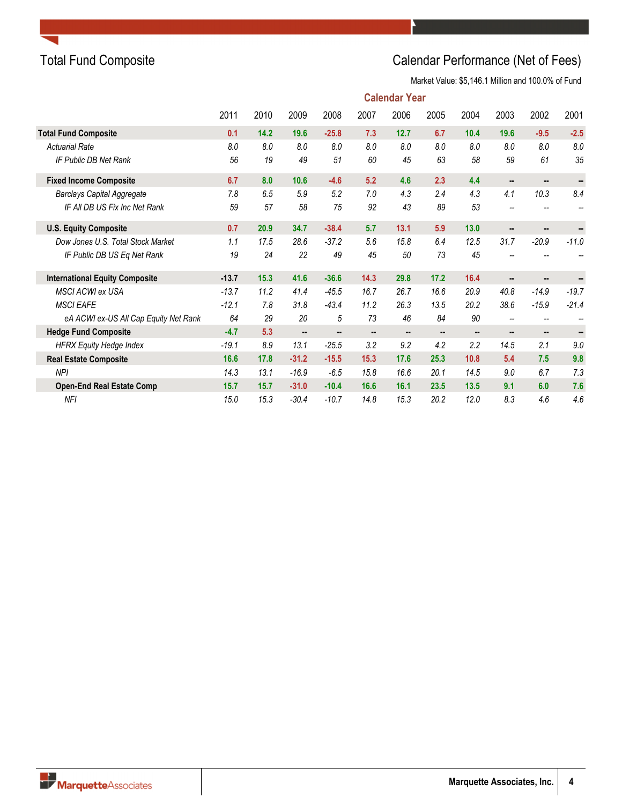### Total Fund Composite **Calendar Performance (Net of Fees)**

|                                       |         |      |                          |         |      | <b>Calendar Year</b> |                |      |                          |         |         |
|---------------------------------------|---------|------|--------------------------|---------|------|----------------------|----------------|------|--------------------------|---------|---------|
|                                       | 2011    | 2010 | 2009                     | 2008    | 2007 | 2006                 | 2005           | 2004 | 2003                     | 2002    | 2001    |
| <b>Total Fund Composite</b>           | 0.1     | 14.2 | 19.6                     | $-25.8$ | 7.3  | 12.7                 | 6.7            | 10.4 | 19.6                     | $-9.5$  | $-2.5$  |
| <b>Actuarial Rate</b>                 | 8.0     | 8.0  | 8.0                      | 8.0     | 8.0  | 8.0                  | 8.0            | 8.0  | 8.0                      | 8.0     | 8.0     |
| IF Public DB Net Rank                 | 56      | 19   | 49                       | 51      | 60   | 45                   | 63             | 58   | 59                       | 61      | 35      |
| <b>Fixed Income Composite</b>         | 6.7     | 8.0  | 10.6                     | $-4.6$  | 5.2  | 4.6                  | 2.3            | 4.4  | $\sim$                   |         |         |
| <b>Barclays Capital Aggregate</b>     | 7.8     | 6.5  | 5.9                      | 5.2     | 7.0  | 4.3                  | 2.4            | 4.3  | 4.1                      | 10.3    | 8.4     |
| IF All DB US Fix Inc Net Rank         | 59      | 57   | 58                       | 75      | 92   | 43                   | 89             | 53   |                          |         |         |
| <b>U.S. Equity Composite</b>          | 0.7     | 20.9 | 34.7                     | $-38.4$ | 5.7  | 13.1                 | 5.9            | 13.0 | --                       | ۰.      |         |
| Dow Jones U.S. Total Stock Market     | 1.1     | 17.5 | 28.6                     | $-37.2$ | 5.6  | 15.8                 | 6.4            | 12.5 | 31.7                     | $-20.9$ | $-11.0$ |
| IF Public DB US Eq Net Rank           | 19      | 24   | 22                       | 49      | 45   | 50                   | 73             | 45   |                          |         |         |
| <b>International Equity Composite</b> | $-13.7$ | 15.3 | 41.6                     | $-36.6$ | 14.3 | 29.8                 | 17.2           | 16.4 |                          | ۰.      |         |
| <b>MSCI ACWI ex USA</b>               | $-13.7$ | 11.2 | 41.4                     | $-45.5$ | 16.7 | 26.7                 | 16.6           | 20.9 | 40.8                     | $-14.9$ | $-19.7$ |
| <b>MSCI EAFE</b>                      | $-12.1$ | 7.8  | 31.8                     | $-43.4$ | 11.2 | 26.3                 | 13.5           | 20.2 | 38.6                     | $-15.9$ | $-21.4$ |
| eA ACWI ex-US All Cap Equity Net Rank | 64      | 29   | 20                       | 5       | 73   | 46                   | 84             | 90   | $\overline{\phantom{a}}$ | --      | --      |
| <b>Hedge Fund Composite</b>           | $-4.7$  | 5.3  | $\overline{\phantom{a}}$ |         |      |                      | $\blacksquare$ |      | $\sim$                   |         |         |
| <b>HFRX Equity Hedge Index</b>        | $-19.1$ | 8.9  | 13.1                     | $-25.5$ | 3.2  | 9.2                  | 4.2            | 2.2  | 14.5                     | 2.1     | 9.0     |
| <b>Real Estate Composite</b>          | 16.6    | 17.8 | $-31.2$                  | $-15.5$ | 15.3 | 17.6                 | 25.3           | 10.8 | 5.4                      | 7.5     | 9.8     |
| <b>NPI</b>                            | 14.3    | 13.1 | $-16.9$                  | $-6.5$  | 15.8 | 16.6                 | 20.1           | 14.5 | 9.0                      | 6.7     | 7.3     |
| <b>Open-End Real Estate Comp</b>      | 15.7    | 15.7 | $-31.0$                  | $-10.4$ | 16.6 | 16.1                 | 23.5           | 13.5 | 9.1                      | 6.0     | 7.6     |
| <b>NFI</b>                            | 15.0    | 15.3 | $-30.4$                  | $-10.7$ | 14.8 | 15.3                 | 20.2           | 12.0 | 8.3                      | 4.6     | 4.6     |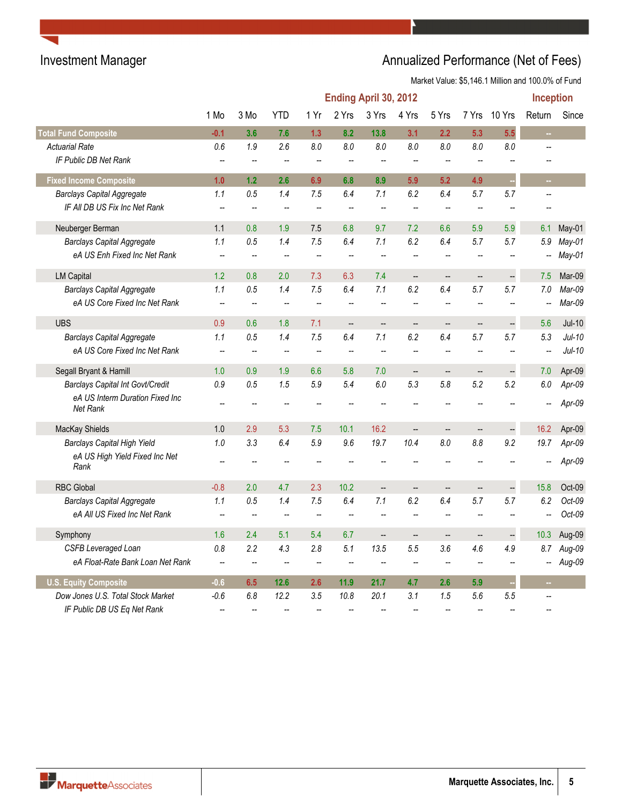|                                                    |                          |                          |            |                          | Ending April 30, 2012    |                          |                          |                          |                          |                          | Inception                |          |
|----------------------------------------------------|--------------------------|--------------------------|------------|--------------------------|--------------------------|--------------------------|--------------------------|--------------------------|--------------------------|--------------------------|--------------------------|----------|
|                                                    | 1 Mo                     | 3 Mo                     | <b>YTD</b> | 1 Yr                     | 2 Yrs                    | 3 Yrs                    | 4 Yrs                    | 5 Yrs                    | 7 Yrs                    | 10 Yrs                   | Return                   | Since    |
| <b>Total Fund Composite</b>                        | $-0.1$                   | 3.6                      | 7.6        | 1.3                      | 8.2                      | 13.8                     | 3.1                      | 2.2                      | 5.3                      | 5.5                      | $\sim$                   |          |
| <b>Actuarial Rate</b>                              | 0.6                      | 1.9                      | 2.6        | 8.0                      | 8.0                      | 8.0                      | 8.0                      | 8.0                      | 8.0                      | 8.0                      |                          |          |
| IF Public DB Net Rank                              | $\overline{\phantom{a}}$ |                          |            | --                       |                          |                          |                          |                          |                          |                          |                          |          |
| <b>Fixed Income Composite</b>                      | 1.0                      | 1.2                      | 2.6        | 6.9                      | 6.8                      | 8.9                      | 5.9                      | 5.2                      | 4.9                      | ×                        | ш.                       |          |
| <b>Barclays Capital Aggregate</b>                  | 1.1                      | 0.5                      | 1.4        | 7.5                      | 6.4                      | 7.1                      | 6.2                      | 6.4                      | 5.7                      | 5.7                      | $\overline{\phantom{a}}$ |          |
| IF All DB US Fix Inc Net Rank                      | $\overline{\phantom{a}}$ | $\overline{\phantom{a}}$ | --         | $\overline{\phantom{a}}$ | --                       | $\overline{a}$           | $\overline{\phantom{a}}$ | $\sim$                   | --                       |                          |                          |          |
| Neuberger Berman                                   | 1.1                      | 0.8                      | 1.9        | 7.5                      | 6.8                      | 9.7                      | 7.2                      | 6.6                      | 5.9                      | 5.9                      | 6.1                      | May-01   |
| <b>Barclays Capital Aggregate</b>                  | 1.1                      | 0.5                      | 1.4        | 7.5                      | 6.4                      | 7.1                      | 6.2                      | 6.4                      | 5.7                      | 5.7                      | 5.9                      | May-01   |
| eA US Enh Fixed Inc Net Rank                       | $\overline{\phantom{a}}$ |                          |            | $\overline{\phantom{a}}$ | --                       |                          | $\overline{\phantom{a}}$ |                          | --                       |                          |                          | May-01   |
| <b>LM Capital</b>                                  | 1.2                      | 0.8                      | 2.0        | 7.3                      | 6.3                      | 7.4                      | $\overline{\phantom{a}}$ | $\overline{\phantom{a}}$ | $\frac{1}{2}$            | $\overline{\phantom{a}}$ | 7.5                      | Mar-09   |
| <b>Barclays Capital Aggregate</b>                  | 1.1                      | 0.5                      | 1.4        | 7.5                      | 6.4                      | 7.1                      | 6.2                      | 6.4                      | 5.7                      | 5.7                      | 7.0                      | Mar-09   |
| eA US Core Fixed Inc Net Rank                      | $\overline{\phantom{a}}$ |                          | --         | $\overline{\phantom{a}}$ | Ξ.                       |                          | $\overline{a}$           | $\sim$                   | $\overline{\phantom{a}}$ |                          |                          | Mar-09   |
| <b>UBS</b>                                         | 0.9                      | 0.6                      | 1.8        | 7.1                      | $\overline{\phantom{a}}$ | $\overline{\phantom{a}}$ | --                       | --                       | $\qquad \qquad -$        |                          | 5.6                      | $Jul-10$ |
| <b>Barclays Capital Aggregate</b>                  | 1.1                      | 0.5                      | 1.4        | 7.5                      | 6.4                      | 7.1                      | 6.2                      | 6.4                      | 5.7                      | 5.7                      | 5.3                      | Jul-10   |
| eA US Core Fixed Inc Net Rank                      | $\overline{\phantom{a}}$ | $\sim$                   | $\sim$     | $\sim$                   | $\overline{\phantom{a}}$ | $\overline{a}$           | $\ddotsc$                | $\overline{a}$           | $\overline{\phantom{a}}$ |                          | $\overline{\phantom{a}}$ | $Jul-10$ |
| Segall Bryant & Hamill                             | 1.0                      | 0.9                      | 1.9        | 6.6                      | 5.8                      | 7.0                      | $\overline{\phantom{a}}$ | $\overline{\phantom{a}}$ | <b></b>                  | $\overline{\phantom{a}}$ | 7.0                      | Apr-09   |
| <b>Barclays Capital Int Govt/Credit</b>            | 0.9                      | 0.5                      | 1.5        | 5.9                      | 5.4                      | $6.0\,$                  | 5.3                      | 5.8                      | 5.2                      | 5.2                      | 6.0                      | Apr-09   |
| eA US Interm Duration Fixed Inc<br><b>Net Rank</b> |                          |                          |            |                          |                          |                          |                          |                          |                          |                          |                          | Apr-09   |
| MacKay Shields                                     | 1.0                      | 2.9                      | 5.3        | 7.5                      | 10.1                     | 16.2                     | $\overline{\phantom{a}}$ | $\qquad \qquad -$        | --                       | --                       | 16.2                     | Apr-09   |
| <b>Barclays Capital High Yield</b>                 | 1.0                      | 3.3                      | 6.4        | 5.9                      | 9.6                      | 19.7                     | 10.4                     | 8.0                      | 8.8                      | 9.2                      | 19.7                     | Apr-09   |
| eA US High Yield Fixed Inc Net<br>Rank             |                          |                          |            |                          |                          |                          |                          |                          |                          |                          |                          | Apr-09   |
| <b>RBC Global</b>                                  | $-0.8$                   | 2.0                      | 4.7        | 2.3                      | 10.2                     | $\sim$                   | $\overline{a}$           | $\overline{\phantom{a}}$ | $\overline{\phantom{a}}$ |                          | 15.8                     | Oct-09   |
| <b>Barclays Capital Aggregate</b>                  | 1.1                      | 0.5                      | 1.4        | 7.5                      | 6.4                      | 7.1                      | 6.2                      | 6.4                      | 5.7                      | 5.7                      | 6.2                      | Oct-09   |
| eA All US Fixed Inc Net Rank                       | --                       | $\overline{\phantom{a}}$ | --         | --                       | --                       | $\overline{\phantom{a}}$ | --                       | --                       | --                       |                          | --                       | $Oct-09$ |
| Symphony                                           | 1.6                      | 2.4                      | 5.1        | 5.4                      | 6.7                      | $\overline{\phantom{a}}$ | --                       | $\overline{\phantom{a}}$ | --                       | $\overline{\phantom{a}}$ | 10.3                     | Aug-09   |
| <b>CSFB Leveraged Loan</b>                         | 0.8                      | 2.2                      | 4.3        | 2.8                      | 5.1                      | 13.5                     | 5.5                      | 3.6                      | 4.6                      | 4.9                      | 8.7                      | Aug-09   |
| eA Float-Rate Bank Loan Net Rank                   | $\overline{\phantom{a}}$ | $\overline{\phantom{a}}$ |            | $\overline{\phantom{a}}$ | $\overline{\phantom{a}}$ |                          | $\overline{\phantom{a}}$ |                          | --                       |                          | --                       | Aug-09   |
| <b>U.S. Equity Composite</b>                       | $-0.6$                   | 6.5                      | 12.6       | 2.6                      | 11.9                     | 21.7                     | 4.7                      | 2.6                      | 5.9                      |                          |                          |          |
| Dow Jones U.S. Total Stock Market                  | $-0.6$                   | 6.8                      | 12.2       | 3.5                      | 10.8                     | 20.1                     | 3.1                      | 1.5                      | 5.6                      | 5.5                      |                          |          |
| IF Public DB US Eq Net Rank                        | --                       |                          |            |                          |                          |                          |                          |                          |                          |                          |                          |          |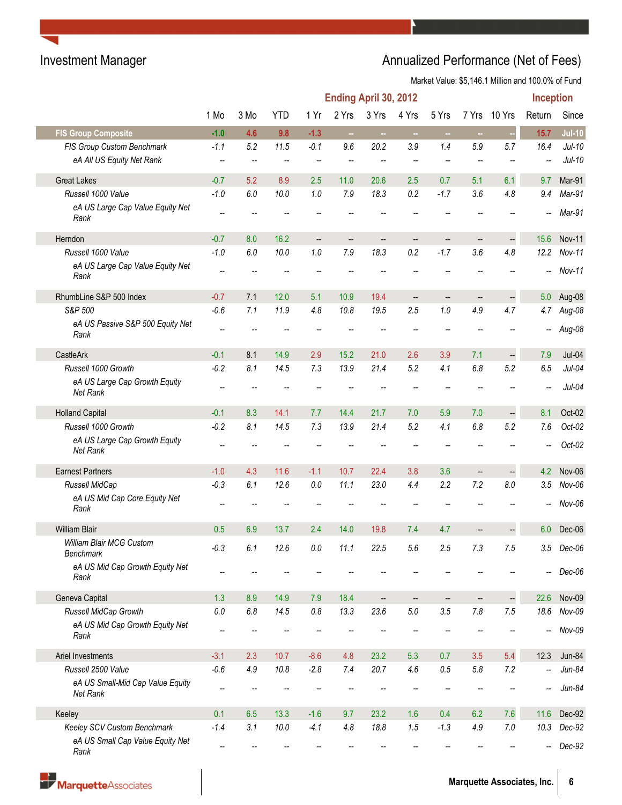|                                              | Inception<br>Ending April 30, 2012 |                          |              |                          |              |                          |                          |            |                          |                                 |            |                      |
|----------------------------------------------|------------------------------------|--------------------------|--------------|--------------------------|--------------|--------------------------|--------------------------|------------|--------------------------|---------------------------------|------------|----------------------|
|                                              | 1 Mo                               | 3 Mo                     | <b>YTD</b>   | 1 Yr                     | 2 Yrs        | 3 Yrs                    | 4 Yrs                    | 5 Yrs      | 7 Yrs                    | 10 Yrs                          | Return     | Since                |
| <b>FIS Group Composite</b>                   | $-1.0$                             | 4.6                      | 9.8          | $-1.3$                   | $\sim$       | $\sim$                   | $\sim$                   | $\sim$     | $\sim$                   |                                 | 15.7       | $Jul-10$             |
| FIS Group Custom Benchmark                   | $-1.1$                             | 5.2                      | 11.5         | $-0.1$                   | 9.6          | 20.2                     | 3.9                      | 1.4        | 5.9                      | 5.7                             | 16.4       | $Jul-10$             |
| eA All US Equity Net Rank                    |                                    |                          |              |                          |              |                          |                          |            |                          |                                 |            | $Jul-10$             |
| <b>Great Lakes</b>                           | $-0.7$                             | 5.2                      | 8.9          | 2.5                      | 11.0         | 20.6                     | 2.5                      | 0.7        | 5.1                      | 6.1                             | 9.7        | Mar-91               |
| Russell 1000 Value                           | $-1.0$                             | 6.0                      | 10.0         | 1.0                      | 7.9          | 18.3                     | 0.2                      | $-1.7$     | 3.6                      | 4.8                             | 9.4        | Mar-91               |
| eA US Large Cap Value Equity Net<br>Rank     |                                    |                          |              |                          |              |                          |                          |            |                          |                                 | --         | Mar-91               |
| Herndon                                      | $-0.7$                             | 8.0                      | 16.2         | $\overline{\phantom{a}}$ |              | --                       | --                       | --         | $\qquad \qquad \qquad -$ | --                              | 15.6       | <b>Nov-11</b>        |
| Russell 1000 Value                           | $-1.0$                             | 6.0                      | 10.0         | 1.0                      | 7.9          | 18.3                     | 0.2                      | $-1.7$     | 3.6                      | 4.8                             | 12.2       | $Nov-11$             |
| eA US Large Cap Value Equity Net<br>Rank     | $\overline{\phantom{a}}$           |                          |              |                          |              |                          |                          |            |                          |                                 | --         | Nov-11               |
| RhumbLine S&P 500 Index                      | $-0.7$                             | 7.1                      | 12.0         | 5.1                      | 10.9         | 19.4                     | $\overline{\phantom{a}}$ |            | $\overline{\phantom{m}}$ |                                 | 5.0        | Aug-08               |
| S&P 500                                      | $-0.6$                             | 7.1                      | 11.9         | 4.8                      | 10.8         | 19.5                     | 2.5                      | $1.0\,$    | 4.9                      | 4.7                             | 4.7        | Aug-08               |
| eA US Passive S&P 500 Equity Net<br>Rank     |                                    |                          |              |                          |              |                          |                          |            |                          |                                 |            | Aug-08               |
|                                              |                                    |                          |              |                          |              |                          |                          |            |                          |                                 |            |                      |
| CastleArk<br>Russell 1000 Growth             | $-0.1$<br>$-0.2$                   | 8.1<br>8.1               | 14.9<br>14.5 | 2.9<br>7.3               | 15.2<br>13.9 | 21.0<br>21.4             | 2.6<br>5.2               | 3.9<br>4.1 | 7.1<br>6.8               | $\overline{\phantom{a}}$<br>5.2 | 7.9<br>6.5 | $Jul-04$<br>$Jul-04$ |
| eA US Large Cap Growth Equity                |                                    |                          |              |                          |              |                          |                          |            |                          |                                 |            |                      |
| Net Rank                                     |                                    |                          |              |                          |              |                          |                          |            |                          |                                 |            | $Jul-04$             |
| <b>Holland Capital</b>                       | $-0.1$                             | 8.3                      | 14.1         | 7.7                      | 14.4         | 21.7                     | 7.0                      | 5.9        | 7.0                      | $\overline{\phantom{a}}$        | 8.1        | Oct-02               |
| Russell 1000 Growth                          | $-0.2$                             | 8.1                      | 14.5         | 7.3                      | 13.9         | 21.4                     | 5.2                      | 4.1        | $6.8\,$                  | 5.2                             | 7.6        | $Oct-02$             |
| eA US Large Cap Growth Equity<br>Net Rank    |                                    |                          |              |                          |              |                          |                          |            |                          |                                 |            | $Oct-02$             |
| <b>Earnest Partners</b>                      | $-1.0$                             | 4.3                      | 11.6         | $-1.1$                   | 10.7         | 22.4                     | 3.8                      | 3.6        | $\qquad \qquad \qquad -$ | $\qquad \qquad -$               | 4.2        | Nov-06               |
| Russell MidCap                               | $-0.3$                             | 6.1                      | 12.6         | 0.0                      | 11.1         | 23.0                     | 4.4                      | 2.2        | 7.2                      | 8.0                             | 3.5        | Nov-06               |
| eA US Mid Cap Core Equity Net<br>Rank        |                                    |                          |              |                          |              |                          |                          |            |                          |                                 |            | Nov-06               |
| <b>William Blair</b>                         | 0.5                                | 6.9                      | 13.7         | 2.4                      | 14.0         | 19.8                     | 7.4                      | 4.7        |                          |                                 | 6.0        | Dec-06               |
| William Blair MCG Custom<br>Benchmark        | $-0.3$                             | $6.1\,$                  | 12.6         | $0.0\,$                  | 11.1         | 22.5                     | 5.6                      | 2.5        | $7.3\,$                  | 7.5                             | 3.5        | $Dec-06$             |
| eA US Mid Cap Growth Equity Net<br>Rank      |                                    |                          |              |                          |              |                          |                          |            |                          |                                 |            | Dec-06               |
| Geneva Capital                               | 1.3                                | 8.9                      | 14.9         | 7.9                      | 18.4         | $\overline{\phantom{a}}$ | --                       | --         | $\qquad \qquad \qquad -$ | --                              | 22.6       | Nov-09               |
| Russell MidCap Growth                        | $0.0\,$                            | $6.8\,$                  | 14.5         | $0.8\,$                  | 13.3         | 23.6                     | $5.0\,$                  | 3.5        | $7.8$                    | 7.5                             | 18.6       | $Nov-09$             |
| eA US Mid Cap Growth Equity Net<br>Rank      | $\overline{\phantom{a}}$           |                          |              |                          |              |                          |                          |            |                          |                                 | --         | Nov-09               |
| Ariel Investments                            | $-3.1$                             | 2.3                      | 10.7         | $-8.6$                   | 4.8          | 23.2                     | 5.3                      | 0.7        | 3.5                      | 5.4                             | 12.3       | Jun-84               |
| Russell 2500 Value                           | $-0.6$                             | 4.9                      | 10.8         | $-2.8$                   | 7.4          | 20.7                     | 4.6                      | $0.5\,$    | $5.8\,$                  | 7.2                             | --         | $Jun-84$             |
| eA US Small-Mid Cap Value Equity<br>Net Rank | --                                 |                          |              |                          |              |                          |                          |            |                          |                                 |            | $Jun-84$             |
| Keeley                                       | 0.1                                | 6.5                      | 13.3         | $-1.6$                   | 9.7          | 23.2                     | 1.6                      | 0.4        | 6.2                      | 7.6                             | 11.6       | Dec-92               |
| Keeley SCV Custom Benchmark                  | $-1.4$                             | 3.1                      | 10.0         | $-4.1$                   | 4.8          | 18.8                     | 1.5                      | $-1.3$     | 4.9                      | $7.0$                           | 10.3       | Dec-92               |
| eA US Small Cap Value Equity Net             | $\overline{\phantom{a}}$           | $\overline{\phantom{a}}$ |              |                          |              |                          |                          |            |                          |                                 |            | Dec-92               |
| Rank                                         |                                    |                          |              |                          |              |                          |                          |            |                          |                                 |            |                      |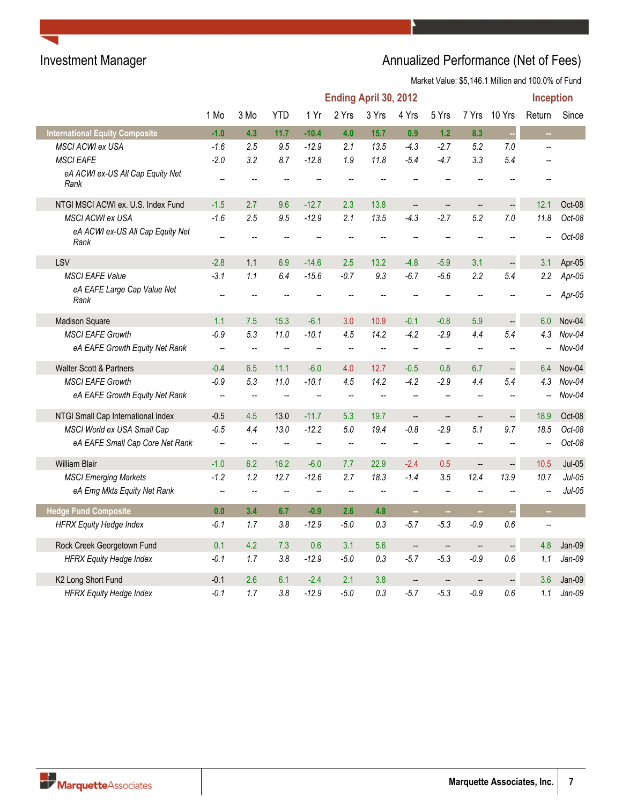|                                          |                          |                          |                          |                          |                          | Ending April 30, 2012    |                          |                          |                          |                      | Inception                |          |
|------------------------------------------|--------------------------|--------------------------|--------------------------|--------------------------|--------------------------|--------------------------|--------------------------|--------------------------|--------------------------|----------------------|--------------------------|----------|
|                                          | 1 Mo                     | 3 Mo                     | <b>YTD</b>               | 1 Yr                     | 2 Yrs                    | 3 Yrs                    | 4 Yrs                    | 5 Yrs                    | 7 Yrs                    | 10 Yrs               | Return                   | Since    |
| <b>International Equity Composite</b>    | $-1.0$                   | 4.3                      | 11.7                     | $-10.4$                  | 4.0                      | 15.7                     | 0.9                      | 1.2                      | 8.3                      | ÷,                   | $\sim$                   |          |
| MSCI ACWI ex USA                         | $-1.6$                   | 2.5                      | 9.5                      | $-12.9$                  | 2.1                      | 13.5                     | $-4.3$                   | $-2.7$                   | 5.2                      | 7.0                  | $\overline{a}$           |          |
| <b>MSCI EAFE</b>                         | $-2.0$                   | 3.2                      | 8.7                      | $-12.8$                  | 1.9                      | 11.8                     | $-5.4$                   | $-4.7$                   | 3.3                      | 5.4                  |                          |          |
| eA ACWI ex-US All Cap Equity Net<br>Rank | --                       |                          |                          |                          |                          |                          |                          |                          |                          |                      |                          |          |
| NTGI MSCI ACWI ex. U.S. Index Fund       | $-1.5$                   | 2.7                      | 9.6                      | $-12.7$                  | 2.3                      | 13.8                     | $\overline{\phantom{a}}$ | $\overline{a}$           | $\overline{\phantom{a}}$ | Ą                    | 12.1                     | Oct-08   |
| <b>MSCI ACWI ex USA</b>                  | $-1.6$                   | 2.5                      | 9.5                      | $-12.9$                  | 2.1                      | 13.5                     | $-4.3$                   | $-2.7$                   | 5.2                      | 7.0                  | 11.8                     | Oct-08   |
| eA ACWI ex-US All Cap Equity Net<br>Rank |                          |                          |                          |                          |                          |                          |                          |                          |                          |                      |                          | Oct-08   |
| LSV                                      | $-2.8$                   | 1.1                      | 6.9                      | $-14.6$                  | 2.5                      | 13.2                     | $-4.8$                   | $-5.9$                   | 3.1                      | $\frac{1}{2}$        | 3.1                      | Apr-05   |
| <b>MSCI EAFE Value</b>                   | $-3.1$                   | 1.1                      | 6.4                      | $-15.6$                  | $-0.7$                   | 9.3                      | $-6.7$                   | $-6.6$                   | 2.2                      | 5.4                  | 2.2                      | $Apr-05$ |
| eA EAFE Large Cap Value Net<br>Rank      |                          |                          |                          |                          |                          |                          |                          |                          |                          |                      |                          | Apr-05   |
| <b>Madison Square</b>                    | 1.1                      | 7.5                      | 15.3                     | $-6.1$                   | 3.0                      | 10.9                     | $-0.1$                   | $-0.8$                   | 5.9                      | $\overline{a}$       | 6.0                      | Nov-04   |
| <b>MSCI EAFE Growth</b>                  | $-0.9$                   | 5.3                      | 11.0                     | $-10.1$                  | 4.5                      | 14.2                     | $-4.2$                   | $-2.9$                   | 4.4                      | 5.4                  | 4.3                      | $Nov-04$ |
| eA EAFE Growth Equity Net Rank           | $\overline{\phantom{a}}$ | $\overline{\phantom{a}}$ | $\overline{\phantom{a}}$ | --                       | --                       | $\overline{\phantom{a}}$ | $\overline{\phantom{a}}$ | $\overline{\phantom{a}}$ | --                       |                      | --                       | $Nov-04$ |
| Walter Scott & Partners                  | $-0.4$                   | 6.5                      | 11.1                     | $-6.0$                   | 4.0                      | 12.7                     | $-0.5$                   | 0.8                      | 6.7                      | $\overline{a}$       | 6.4                      | Nov-04   |
| <b>MSCI EAFE Growth</b>                  | $-0.9$                   | 5.3                      | 11.0                     | $-10.1$                  | 4.5                      | 14.2                     | $-4.2$                   | $-2.9$                   | 4.4                      | 5.4                  | 4.3                      | $Nov-04$ |
| eA EAFE Growth Equity Net Rank           | $\overline{\phantom{a}}$ | --                       | $\overline{\phantom{a}}$ |                          | --                       | $\overline{a}$           | --                       | $\overline{\phantom{a}}$ | --                       | --                   | --                       | $Nov-04$ |
| NTGI Small Cap International Index       | $-0.5$                   | 4.5                      | 13.0                     | $-11.7$                  | 5.3                      | 19.7                     | $\overline{\phantom{a}}$ | $\overline{a}$           | $\qquad \qquad -$        | $\ddot{\phantom{0}}$ | 18.9                     | Oct-08   |
| MSCI World ex USA Small Cap              | $-0.5$                   | 4.4                      | 13.0                     | $-12.2$                  | 5.0                      | 19.4                     | $-0.8$                   | $-2.9$                   | 5.1                      | 9.7                  | 18.5                     | Oct-08   |
| eA EAFE Small Cap Core Net Rank          | --                       | --                       |                          |                          | --                       | $\overline{\phantom{a}}$ | --                       | $\overline{a}$           | $\overline{a}$           | Ξ.                   | Ξ.                       | Oct-08   |
| <b>William Blair</b>                     | $-1.0$                   | 6.2                      | 16.2                     | $-6.0$                   | 7.7                      | 22.9                     | $-2.4$                   | 0.5                      | <u>.</u>                 | $\ddot{\phantom{0}}$ | 10.5                     | $Jul-05$ |
| <b>MSCI Emerging Markets</b>             | $-1.2$                   | 1.2                      | 12.7                     | $-12.6$                  | 2.7                      | 18.3                     | $-1.4$                   | 3.5                      | 12.4                     | 13.9                 | 10.7                     | $Jul-05$ |
| eA Emg Mkts Equity Net Rank              | $\overline{\phantom{a}}$ | $\overline{\phantom{a}}$ | $\overline{\phantom{a}}$ | $\overline{\phantom{a}}$ | $\overline{\phantom{a}}$ | $\overline{\phantom{a}}$ | $\overline{\phantom{a}}$ | $\sim$                   | --                       | --                   | $\overline{\phantom{a}}$ | $Jul-05$ |
| <b>Hedge Fund Composite</b>              | 0.0                      | 3.4                      | 6.7                      | $-0.9$                   | 2.6                      | 4.8                      | ш,                       | $\sim$                   | u,                       |                      | ш,                       |          |
| <b>HFRX Equity Hedge Index</b>           | $-0.1$                   | 1.7                      | 3.8                      | $-12.9$                  | $-5.0$                   | 0.3                      | $-5.7$                   | $-5.3$                   | $-0.9$                   | 0.6                  | $\overline{a}$           |          |
| Rock Creek Georgetown Fund               | 0.1                      | 4.2                      | 7.3                      | 0.6                      | 3.1                      | 5.6                      | $\overline{\phantom{a}}$ | $\overline{\phantom{a}}$ | $\overline{\phantom{a}}$ | $\ddot{\phantom{0}}$ | 4.8                      | Jan-09   |
| <b>HFRX Equity Hedge Index</b>           | $-0.1$                   | 1.7                      | 3.8                      | $-12.9$                  | $-5.0$                   | 0.3                      | $-5.7$                   | $-5.3$                   | $-0.9$                   | $0.6\,$              | 1.1                      | $Jan-09$ |
| K2 Long Short Fund                       | $-0.1$                   | 2.6                      | 6.1                      | $-2.4$                   | 2.1                      | 3.8                      | $\overline{\phantom{a}}$ | $\overline{\phantom{a}}$ | $\overline{\phantom{a}}$ | $\overline{a}$       | 3.6                      | Jan-09   |
| <b>HFRX Equity Hedge Index</b>           | $-0.1$                   | 1.7                      | 3.8                      | $-12.9$                  | $-5.0$                   | 0.3                      | $-5.7$                   | $-5.3$                   | $-0.9$                   | 0.6                  | 1.1                      | $Jan-09$ |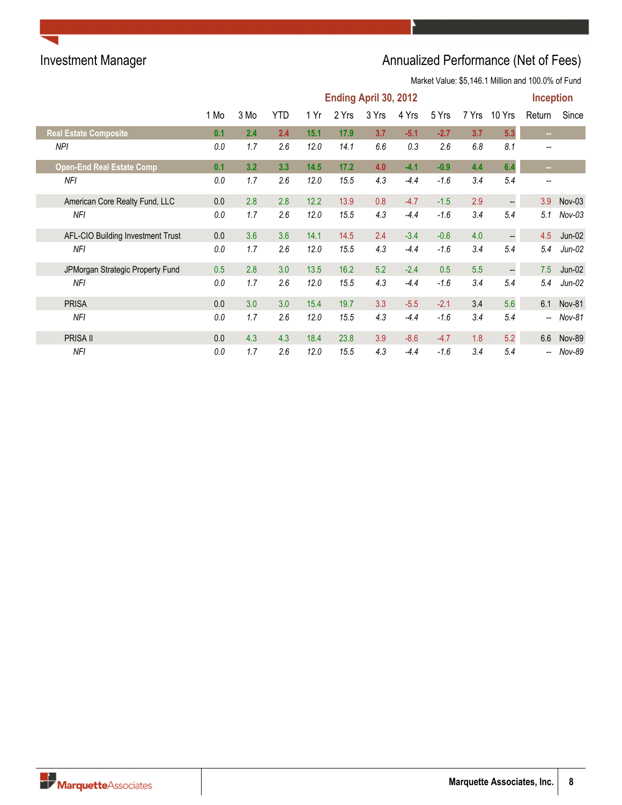|                                   | Ending April 30, 2012<br><b>YTD</b><br>2 Yrs<br>5 Yrs<br>1 Mo<br>3 Mo<br>1 Yr<br>3 Yrs<br>4 Yrs<br>7 Yrs<br>10 Yrs<br>5.3<br>2.4<br>2.4<br>15.1<br>17.9<br>$-2.7$<br>3.7<br>0.1<br>3.7<br>$-5.1$<br>2.6<br>2.6<br>1.7<br>12.0<br>14.1<br>6.6<br>0.3<br>6.8<br>8.1<br>0.0<br>6.4<br>3.3<br>14.5<br>$-0.9$<br>4.4<br>3.2<br>17.2<br>4.0<br>$-4.1$<br>0.1<br>1.7<br>2.6<br>12.0<br>15.5<br>4.3<br>$-4.4$<br>$-1.6$<br>3.4<br>5.4<br>0.0<br>2.8<br>2.8<br>12.2<br>$-4.7$<br>$-1.5$<br>2.9<br>0.0<br>13.9<br>0.8<br>$\overline{\phantom{a}}$<br>1.7<br>2.6<br>$-1.6$<br>5.4<br>12.0<br>15.5<br>4.3<br>$-4.4$<br>3.4<br>0.0<br>3.6<br>3.6<br>4.0<br>0.0<br>14.1<br>14.5<br>2.4<br>$-3.4$<br>$-0.6$<br>$\overline{\phantom{a}}$<br>2.6<br>4.3<br>$-1.6$<br>5.4<br>1.7<br>12.0<br>15.5<br>$-4.4$<br>3.4<br>0.0 |     |     |      |      |     |        |        |     | <b>Inception</b>         |                          |            |
|-----------------------------------|--------------------------------------------------------------------------------------------------------------------------------------------------------------------------------------------------------------------------------------------------------------------------------------------------------------------------------------------------------------------------------------------------------------------------------------------------------------------------------------------------------------------------------------------------------------------------------------------------------------------------------------------------------------------------------------------------------------------------------------------------------------------------------------------------------|-----|-----|------|------|-----|--------|--------|-----|--------------------------|--------------------------|------------|
|                                   |                                                                                                                                                                                                                                                                                                                                                                                                                                                                                                                                                                                                                                                                                                                                                                                                        |     |     |      |      |     |        |        |     |                          | Return                   | Since      |
| <b>Real Estate Composite</b>      |                                                                                                                                                                                                                                                                                                                                                                                                                                                                                                                                                                                                                                                                                                                                                                                                        |     |     |      |      |     |        |        |     |                          | $\sim 10$                |            |
| NPI                               |                                                                                                                                                                                                                                                                                                                                                                                                                                                                                                                                                                                                                                                                                                                                                                                                        |     |     |      |      |     |        |        |     |                          |                          |            |
| <b>Open-End Real Estate Comp</b>  |                                                                                                                                                                                                                                                                                                                                                                                                                                                                                                                                                                                                                                                                                                                                                                                                        |     |     |      |      |     |        |        |     |                          | m.                       |            |
| NFI                               |                                                                                                                                                                                                                                                                                                                                                                                                                                                                                                                                                                                                                                                                                                                                                                                                        |     |     |      |      |     |        |        |     |                          | $\overline{\phantom{m}}$ |            |
| American Core Realty Fund, LLC    |                                                                                                                                                                                                                                                                                                                                                                                                                                                                                                                                                                                                                                                                                                                                                                                                        |     |     |      |      |     |        |        |     |                          | 3.9                      | $Nov-03$   |
| NFI                               |                                                                                                                                                                                                                                                                                                                                                                                                                                                                                                                                                                                                                                                                                                                                                                                                        |     |     |      |      |     |        |        |     |                          | 5.1                      | $Nov-03$   |
| AFL-CIO Building Investment Trust |                                                                                                                                                                                                                                                                                                                                                                                                                                                                                                                                                                                                                                                                                                                                                                                                        |     |     |      |      |     |        |        |     |                          | 4.5                      | Jun-02     |
| <b>NFI</b>                        |                                                                                                                                                                                                                                                                                                                                                                                                                                                                                                                                                                                                                                                                                                                                                                                                        |     |     |      |      |     |        |        |     |                          | 5.4                      | $Jun-02$   |
| JPMorgan Strategic Property Fund  | 0.5                                                                                                                                                                                                                                                                                                                                                                                                                                                                                                                                                                                                                                                                                                                                                                                                    | 2.8 | 3.0 | 13.5 | 16.2 | 5.2 | $-2.4$ | 0.5    | 5.5 | $\overline{\phantom{a}}$ | 7.5                      | $Jun-02$   |
| NFI                               | 0.0                                                                                                                                                                                                                                                                                                                                                                                                                                                                                                                                                                                                                                                                                                                                                                                                    | 1.7 | 2.6 | 12.0 | 15.5 | 4.3 | $-4.4$ | $-1.6$ | 3.4 | 5.4                      | 5.4                      | $Jun-02$   |
| <b>PRISA</b>                      | 0.0                                                                                                                                                                                                                                                                                                                                                                                                                                                                                                                                                                                                                                                                                                                                                                                                    | 3.0 | 3.0 | 15.4 | 19.7 | 3.3 | $-5.5$ | $-2.1$ | 3.4 | 5.6                      |                          | 6.1 Nov-81 |
| NFI                               | 0.0                                                                                                                                                                                                                                                                                                                                                                                                                                                                                                                                                                                                                                                                                                                                                                                                    | 1.7 | 2.6 | 12.0 | 15.5 | 4.3 | $-4.4$ | $-1.6$ | 3.4 | 5.4                      | $\overline{\phantom{a}}$ | Nov-81     |
| PRISA II                          | 0.0                                                                                                                                                                                                                                                                                                                                                                                                                                                                                                                                                                                                                                                                                                                                                                                                    | 4.3 | 4.3 | 18.4 | 23.8 | 3.9 | $-8.6$ | $-4.7$ | 1.8 | 5.2                      | 6.6                      | Nov-89     |
| NFI                               | 0.0                                                                                                                                                                                                                                                                                                                                                                                                                                                                                                                                                                                                                                                                                                                                                                                                    | 1.7 | 2.6 | 12.0 | 15.5 | 4.3 | $-4.4$ | $-1.6$ | 3.4 | 5.4                      | $\overline{\phantom{a}}$ | Nov-89     |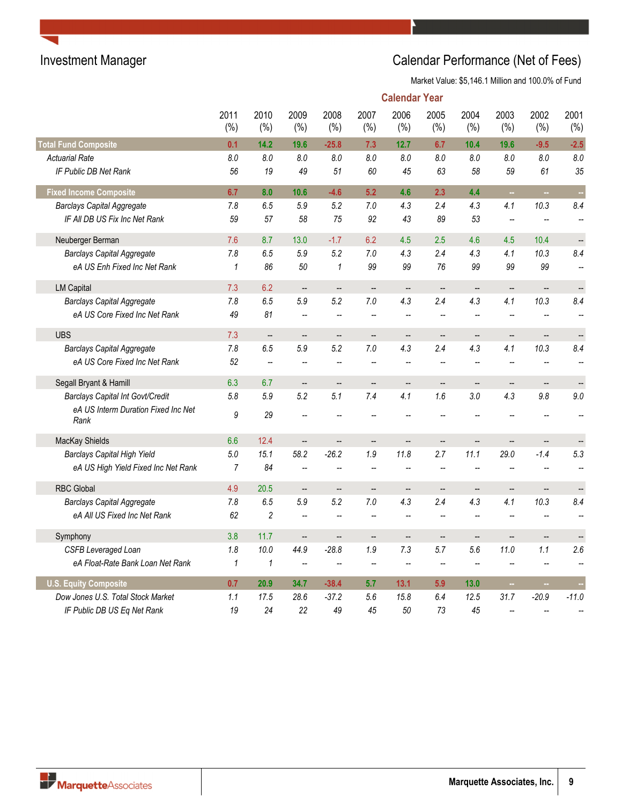|                                             |                  |                          |                          |                          |                          | <b>Calendar Year</b>     |                          |                          |                          |                              |                   |
|---------------------------------------------|------------------|--------------------------|--------------------------|--------------------------|--------------------------|--------------------------|--------------------------|--------------------------|--------------------------|------------------------------|-------------------|
|                                             | 2011<br>$(\% )$  | 2010<br>(%)              | 2009<br>$(\% )$          | 2008<br>(%)              | 2007<br>(%)              | 2006<br>(%)              | 2005<br>(%)              | 2004<br>(%)              | 2003<br>$(\% )$          | 2002<br>(%)                  | 2001<br>(%)       |
| <b>Total Fund Composite</b>                 | 0.1              | 14.2                     | 19.6                     | $-25.8$                  | 7.3                      | 12.7                     | 6.7                      | 10.4                     | 19.6                     | $-9.5$                       | $-2.5$            |
| <b>Actuarial Rate</b>                       | 8.0              | 8.0                      | 8.0                      | 8.0                      | 8.0                      | 8.0                      | 8.0                      | 8.0                      | 8.0                      | 8.0                          | 8.0               |
| IF Public DB Net Rank                       | 56               | 19                       | 49                       | 51                       | 60                       | 45                       | 63                       | 58                       | 59                       | 61                           | 35                |
| <b>Fixed Income Composite</b>               | 6.7              | 8.0                      | 10.6                     | $-4.6$                   | 5.2                      | 4.6                      | 2.3                      | 4.4                      | $\sim$                   | m.                           |                   |
| <b>Barclays Capital Aggregate</b>           | 7.8              | 6.5                      | 5.9                      | 5.2                      | $7.0$                    | 4.3                      | 2.4                      | 4.3                      | 4.1                      | 10.3                         | 8.4               |
| IF All DB US Fix Inc Net Rank               | 59               | 57                       | 58                       | 75                       | 92                       | 43                       | 89                       | 53                       | $\overline{a}$           |                              |                   |
| Neuberger Berman                            | 7.6              | 8.7                      | 13.0                     | $-1.7$                   | 6.2                      | 4.5                      | 2.5                      | 4.6                      | 4.5                      | 10.4                         |                   |
| <b>Barclays Capital Aggregate</b>           | $7.8$            | 6.5                      | 5.9                      | 5.2                      | $7.0$                    | 4.3                      | 2.4                      | 4.3                      | 4.1                      | 10.3                         | 8.4               |
| eA US Enh Fixed Inc Net Rank                | $\mathbf{1}$     | 86                       | 50                       | $\mathcal I$             | 99                       | 99                       | 76                       | 99                       | 99                       | 99                           |                   |
| <b>LM Capital</b>                           | 7.3              | 6.2                      | $\overline{\phantom{a}}$ | $\overline{\phantom{a}}$ | $\overline{\phantom{a}}$ | $\overline{\phantom{a}}$ | $\sim$                   | $\overline{\phantom{a}}$ | $\overline{a}$           | $\overline{a}$               |                   |
| <b>Barclays Capital Aggregate</b>           | 7.8              | 6.5                      | 5.9                      | 5.2                      | $7.0\,$                  | 4.3                      | 2.4                      | 4.3                      | 4.1                      | 10.3                         | 8.4               |
| eA US Core Fixed Inc Net Rank               | 49               | 81                       | $\overline{\phantom{a}}$ |                          | $\overline{\phantom{a}}$ | $\overline{a}$           | $\overline{\phantom{a}}$ |                          | Ξ.                       |                              |                   |
| <b>UBS</b>                                  | 7.3              | $\overline{\phantom{a}}$ | $\qquad \qquad -$        | $\overline{\phantom{a}}$ | $\overline{\phantom{a}}$ | $\overline{\phantom{a}}$ | $\overline{\phantom{a}}$ | --                       | --                       | --                           | $\qquad \qquad -$ |
| <b>Barclays Capital Aggregate</b>           | 7.8              | 6.5                      | 5.9                      | 5.2                      | $7.0\,$                  | 4.3                      | 2.4                      | 4.3                      | 4.1                      | 10.3                         | 8.4               |
| eA US Core Fixed Inc Net Rank               | 52               |                          | Ξ.                       |                          |                          | Ξ.                       |                          |                          | $\overline{a}$           |                              |                   |
| Segall Bryant & Hamill                      | 6.3              | 6.7                      | --                       | --                       | --                       | --                       | $\overline{\phantom{a}}$ | $\overline{\phantom{a}}$ | --                       | $\qquad \qquad \blacksquare$ |                   |
| <b>Barclays Capital Int Govt/Credit</b>     | 5.8              | 5.9                      | 5.2                      | 5.1                      | 7.4                      | 4.1                      | 1.6                      | 3.0                      | 4.3                      | 9.8                          | 9.0               |
| eA US Interm Duration Fixed Inc Net<br>Rank | $\boldsymbol{9}$ | 29                       |                          |                          |                          |                          |                          |                          |                          |                              |                   |
| MacKay Shields                              | 6.6              | 12.4                     | $\overline{a}$           |                          |                          | --                       | $\overline{a}$           |                          | $\overline{a}$           |                              |                   |
| <b>Barclays Capital High Yield</b>          | 5.0              | 15.1                     | 58.2                     | $-26.2$                  | 1.9                      | 11.8                     | 2.7                      | 11.1                     | 29.0                     | $-1.4$                       | 5.3               |
| eA US High Yield Fixed Inc Net Rank         | $\overline{7}$   | 84                       | --                       |                          | $\overline{a}$           | Ξ.                       | $\overline{\phantom{a}}$ |                          | Ξ.                       |                              |                   |
| <b>RBC Global</b>                           | 4.9              | 20.5                     | $\overline{\phantom{m}}$ | $\overline{\phantom{a}}$ | $\overline{\phantom{a}}$ | $\qquad \qquad \cdots$   | $\overline{\phantom{a}}$ | --                       | $\overline{\phantom{a}}$ | $\qquad \qquad -$            |                   |
| <b>Barclays Capital Aggregate</b>           | 7.8              | 6.5                      | 5.9                      | 5.2                      | 7.0                      | 4.3                      | 2.4                      | 4.3                      | 4.1                      | 10.3                         | 8.4               |
| eA All US Fixed Inc Net Rank                | 62               | $\overline{c}$           | --                       |                          |                          |                          |                          |                          |                          |                              |                   |
| Symphony                                    | 3.8              | 11.7                     | $\overline{\phantom{a}}$ | $\overline{\phantom{a}}$ | $\overline{\phantom{a}}$ | $\overline{\phantom{a}}$ | $\overline{\phantom{a}}$ | $\overline{\phantom{a}}$ | Ξ.                       | $\overline{\phantom{a}}$     |                   |
| <b>CSFB Leveraged Loan</b>                  | 1.8              | 10.0                     | 44.9                     | $-28.8$                  | 1.9                      | 7.3                      | 5.7                      | 5.6                      | 11.0                     | 1.1                          | 2.6               |
| eA Float-Rate Bank Loan Net Rank            | $\mathbf{1}$     | $\mathbf{1}$             | $\overline{\phantom{a}}$ |                          |                          | Ξ.                       | $\overline{a}$           |                          |                          |                              |                   |
| <b>U.S. Equity Composite</b>                | 0.7              | 20.9                     | 34.7                     | $-38.4$                  | 5.7                      | 13.1                     | 5.9                      | 13.0                     | ш,                       | m.                           |                   |
| Dow Jones U.S. Total Stock Market           | 1.1              | 17.5                     | 28.6                     | $-37.2$                  | 5.6                      | 15.8                     | 6.4                      | 12.5                     | 31.7                     | $-20.9$                      | $-11.0$           |
| IF Public DB US Eq Net Rank                 | 19               | 24                       | 22                       | 49                       | 45                       | 50                       | 73                       | 45                       | $\overline{a}$           |                              |                   |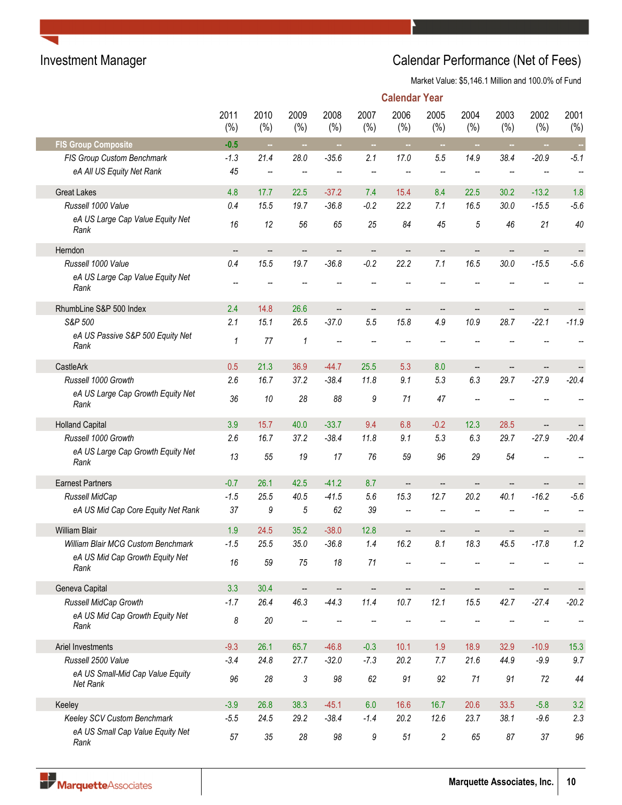|                                              |                          |             |                          |             |                          | <b>Calendar Year</b>     |                          |             |                          |                   |             |
|----------------------------------------------|--------------------------|-------------|--------------------------|-------------|--------------------------|--------------------------|--------------------------|-------------|--------------------------|-------------------|-------------|
|                                              | 2011<br>(%)              | 2010<br>(%) | 2009<br>(%)              | 2008<br>(%) | 2007<br>(%)              | 2006<br>(%)              | 2005<br>(%)              | 2004<br>(%) | 2003<br>(%)              | 2002<br>(%)       | 2001<br>(%) |
| <b>FIS Group Composite</b>                   | $-0.5$                   | $\sim$      | $\sim$                   | $\sim$      | $\sim$                   | $\sim$                   | $\sim$                   | $\bar{a}$   | $\sim$                   | $\sim$            | $\sim$      |
| FIS Group Custom Benchmark                   | $-1.3$                   | 21.4        | 28.0                     | $-35.6$     | 2.1                      | 17.0                     | 5.5                      | 14.9        | 38.4                     | $-20.9$           | $-5.1$      |
| eA All US Equity Net Rank                    | 45                       | --          | $\overline{\phantom{a}}$ | --          | $\overline{\phantom{m}}$ | --                       | $\overline{\phantom{a}}$ | --          |                          | --                |             |
| <b>Great Lakes</b>                           | 4.8                      | 17.7        | 22.5                     | $-37.2$     | 7.4                      | 15.4                     | 8.4                      | 22.5        | 30.2                     | $-13.2$           | 1.8         |
| Russell 1000 Value                           | 0.4                      | 15.5        | 19.7                     | $-36.8$     | $-0.2$                   | 22.2                     | 7.1                      | 16.5        | 30.0                     | $-15.5$           | $-5.6$      |
| eA US Large Cap Value Equity Net<br>Rank     | 16                       | 12          | 56                       | 65          | 25                       | 84                       | 45                       | 5           | 46                       | 21                | 40          |
| Herndon                                      | $\overline{\phantom{a}}$ | --          | $\overline{\phantom{a}}$ | --          | $\overline{\phantom{a}}$ |                          | $\qquad \qquad -$        |             |                          | --                |             |
| Russell 1000 Value                           | 0.4                      | 15.5        | 19.7                     | $-36.8$     | $-0.2$                   | 22.2                     | 7.1                      | 16.5        | 30.0                     | $-15.5$           | $-5.6$      |
| eA US Large Cap Value Equity Net<br>Rank     |                          |             |                          |             |                          |                          |                          |             |                          |                   |             |
| RhumbLine S&P 500 Index                      | 2.4                      | 14.8        | 26.6                     | --          | $\overline{\phantom{a}}$ | --                       | $\qquad \qquad \qquad -$ | --          | $\overline{\phantom{a}}$ | --                |             |
| S&P 500                                      | 2.1                      | 15.1        | 26.5                     | $-37.0$     | 5.5                      | 15.8                     | 4.9                      | 10.9        | 28.7                     | $-22.1$           | $-11.9$     |
| eA US Passive S&P 500 Equity Net<br>Rank     | 1                        | 77          | $\mathcal I$             | --          |                          |                          |                          |             |                          |                   |             |
| CastleArk                                    | 0.5                      | 21.3        | 36.9                     | $-44.7$     | 25.5                     | 5.3                      | 8.0                      | --          | $\overline{\phantom{a}}$ | $\qquad \qquad -$ |             |
| Russell 1000 Growth                          | 2.6                      | 16.7        | 37.2                     | $-38.4$     | 11.8                     | 9.1                      | 5.3                      | 6.3         | 29.7                     | $-27.9$           | $-20.4$     |
| eA US Large Cap Growth Equity Net<br>Rank    | 36                       | 10          | 28                       | 88          | 9                        | 71                       | 47                       |             |                          |                   |             |
| <b>Holland Capital</b>                       | 3.9                      | 15.7        | 40.0                     | $-33.7$     | 9.4                      | 6.8                      | $-0.2$                   | 12.3        | 28.5                     | --                |             |
| Russell 1000 Growth                          | 2.6                      | 16.7        | 37.2                     | $-38.4$     | 11.8                     | 9.1                      | 5.3                      | 6.3         | 29.7                     | $-27.9$           | $-20.4$     |
| eA US Large Cap Growth Equity Net<br>Rank    | 13                       | 55          | 19                       | 17          | 76                       | 59                       | 96                       | 29          | 54                       |                   |             |
| <b>Earnest Partners</b>                      | $-0.7$                   | 26.1        | 42.5                     | $-41.2$     | 8.7                      | $\overline{\phantom{a}}$ | --                       |             |                          |                   |             |
| Russell MidCap                               | $-1.5$                   | 25.5        | 40.5                     | $-41.5$     | 5.6                      | 15.3                     | 12.7                     | 20.2        | 40.1                     | $-16.2$           | $-5.6$      |
| eA US Mid Cap Core Equity Net Rank           | 37                       | 9           | $\sqrt{5}$               | 62          | 39                       |                          |                          |             |                          |                   |             |
| <b>William Blair</b>                         | 1.9                      | 24.5        | 35.2                     | $-38.0$     | 12.8                     | --                       |                          |             |                          |                   |             |
| William Blair MCG Custom Benchmark           | $-1.5$                   | 25.5        | 35.0                     | $-36.8$     | 1.4                      | 16.2                     | 8.1                      | 18.3        | 45.5                     | $-17.8$           | 1.2         |
| eA US Mid Cap Growth Equity Net<br>Rank      | 16                       | 59          | 75                       | 18          | 71                       |                          |                          |             |                          |                   |             |
| Geneva Capital                               | 3.3                      | 30.4        | $\overline{\phantom{a}}$ | --          | --                       |                          | --                       |             |                          | --                |             |
| Russell MidCap Growth                        | $-1.7$                   | 26.4        | 46.3                     | $-44.3$     | 11.4                     | 10.7                     | 12.1                     | 15.5        | 42.7                     | $-27.4$           | $-20.2$     |
| eA US Mid Cap Growth Equity Net<br>Rank      | 8                        | $20\,$      | --                       |             |                          |                          |                          |             |                          |                   |             |
| Ariel Investments                            | $-9.3$                   | 26.1        | 65.7                     | $-46.8$     | $-0.3$                   | 10.1                     | 1.9                      | 18.9        | 32.9                     | $-10.9$           | 15.3        |
| Russell 2500 Value                           | $-3.4$                   | 24.8        | 27.7                     | $-32.0$     | $-7.3$                   | 20.2                     | 7.7                      | 21.6        | 44.9                     | $-9.9$            | 9.7         |
| eA US Small-Mid Cap Value Equity<br>Net Rank | 96                       | 28          | $\sqrt{3}$               | 98          | 62                       | 91                       | 92                       | 71          | 91                       | 72                | 44          |
| Keeley                                       | $-3.9$                   | 26.8        | 38.3                     | $-45.1$     | 6.0                      | 16.6                     | 16.7                     | 20.6        | 33.5                     | $-5.8$            | 3.2         |
| Keeley SCV Custom Benchmark                  | $-5.5$                   | 24.5        | 29.2                     | $-38.4$     | $-1.4$                   | 20.2                     | 12.6                     | 23.7        | 38.1                     | $-9.6$            | 2.3         |
| eA US Small Cap Value Equity Net<br>Rank     | 57                       | 35          | 28                       | 98          | 9                        | 51                       | $\overline{c}$           | 65          | 87                       | 37                | 96          |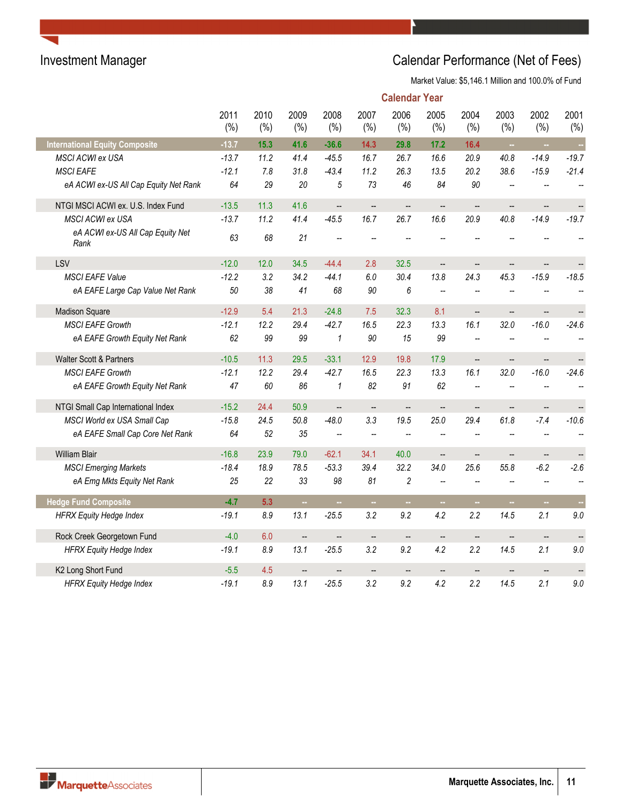|                                          |             |             |                          |                          |                          | <b>Calendar Year</b>     |                          |                          |                          |                          |                   |
|------------------------------------------|-------------|-------------|--------------------------|--------------------------|--------------------------|--------------------------|--------------------------|--------------------------|--------------------------|--------------------------|-------------------|
|                                          | 2011<br>(%) | 2010<br>(%) | 2009<br>(%)              | 2008<br>(%)              | 2007<br>(%)              | 2006<br>(%)              | 2005<br>(%)              | 2004<br>(%)              | 2003<br>(%)              | 2002<br>(%)              | 2001<br>(%)       |
| <b>International Equity Composite</b>    | $-13.7$     | 15.3        | 41.6                     | $-36.6$                  | 14.3                     | 29.8                     | 17.2                     | 16.4                     | $\bar{z}$                | ш,                       | ò,                |
| <b>MSCI ACWI ex USA</b>                  | $-13.7$     | 11.2        | 41.4                     | $-45.5$                  | 16.7                     | 26.7                     | 16.6                     | 20.9                     | 40.8                     | $-14.9$                  | $-19.7$           |
| <b>MSCI EAFE</b>                         | $-12.1$     | 7.8         | 31.8                     | $-43.4$                  | 11.2                     | 26.3                     | 13.5                     | 20.2                     | 38.6                     | $-15.9$                  | $-21.4$           |
| eA ACWI ex-US All Cap Equity Net Rank    | 64          | 29          | 20                       | $\sqrt{5}$               | 73                       | 46                       | 84                       | 90                       | --                       |                          |                   |
| NTGI MSCI ACWI ex. U.S. Index Fund       | $-13.5$     | 11.3        | 41.6                     | $\overline{\phantom{a}}$ | $\overline{\phantom{a}}$ | $\overline{\phantom{a}}$ | $\qquad \qquad -$        | $\overline{\phantom{a}}$ | $\overline{\phantom{a}}$ | $\overline{\phantom{a}}$ | $\qquad \qquad -$ |
| MSCI ACWI ex USA                         | $-13.7$     | 11.2        | 41.4                     | $-45.5$                  | 16.7                     | 26.7                     | 16.6                     | 20.9                     | 40.8                     | $-14.9$                  | $-19.7$           |
| eA ACWI ex-US All Cap Equity Net<br>Rank | 63          | 68          | 21                       |                          |                          |                          |                          |                          |                          |                          |                   |
| LSV                                      | $-12.0$     | 12.0        | 34.5                     | $-44.4$                  | 2.8                      | 32.5                     | ÷,                       |                          | $\overline{a}$           | $\overline{\phantom{a}}$ |                   |
| <b>MSCI EAFE Value</b>                   | $-12.2$     | 3.2         | 34.2                     | $-44.1$                  | 6.0                      | 30.4                     | 13.8                     | 24.3                     | 45.3                     | $-15.9$                  | $-18.5$           |
| eA EAFE Large Cap Value Net Rank         | 50          | 38          | 41                       | 68                       | 90                       | 6                        | $\overline{\phantom{a}}$ | $\overline{a}$           | Ξ.                       |                          |                   |
| <b>Madison Square</b>                    | $-12.9$     | 5.4         | 21.3                     | $-24.8$                  | 7.5                      | 32.3                     | 8.1                      | $\overline{\phantom{a}}$ | $\frac{1}{2}$            | $\overline{\phantom{a}}$ |                   |
| <b>MSCI EAFE Growth</b>                  | $-12.1$     | 12.2        | 29.4                     | $-42.7$                  | 16.5                     | 22.3                     | 13.3                     | 16.1                     | 32.0                     | $-16.0$                  | $-24.6$           |
| eA EAFE Growth Equity Net Rank           | 62          | 99          | 99                       | $\pmb{\mathcal{1}}$      | 90                       | 15                       | 99                       | Ξ.                       | Щ,                       |                          |                   |
| <b>Walter Scott &amp; Partners</b>       | $-10.5$     | 11.3        | 29.5                     | $-33.1$                  | 12.9                     | 19.8                     | 17.9                     | $\overline{a}$           | --                       | $\overline{\phantom{a}}$ |                   |
| <b>MSCI EAFE Growth</b>                  | $-12.1$     | 12.2        | 29.4                     | $-42.7$                  | 16.5                     | 22.3                     | 13.3                     | 16.1                     | 32.0                     | $-16.0$                  | $-24.6$           |
| eA EAFE Growth Equity Net Rank           | 47          | 60          | 86                       | 1                        | 82                       | 91                       | 62                       |                          |                          |                          |                   |
| NTGI Small Cap International Index       | $-15.2$     | 24.4        | 50.9                     | $\overline{\phantom{a}}$ | $\overline{\phantom{a}}$ | $\overline{\phantom{a}}$ | <u></u>                  | Ш,                       | Ξ.                       | $\overline{\phantom{a}}$ |                   |
| MSCI World ex USA Small Cap              | $-15.8$     | 24.5        | 50.8                     | $-48.0$                  | 3.3                      | 19.5                     | 25.0                     | 29.4                     | 61.8                     | $-7.4$                   | $-10.6$           |
| eA EAFE Small Cap Core Net Rank          | 64          | 52          | 35                       | --                       |                          |                          |                          |                          |                          |                          |                   |
| <b>William Blair</b>                     | $-16.8$     | 23.9        | 79.0                     | $-62.1$                  | 34.1                     | 40.0                     | $\overline{\phantom{a}}$ | $\overline{\phantom{0}}$ | --                       | $\overline{\phantom{a}}$ | $\qquad \qquad -$ |
| <b>MSCI Emerging Markets</b>             | $-18.4$     | 18.9        | 78.5                     | $-53.3$                  | 39.4                     | 32.2                     | 34.0                     | 25.6                     | 55.8                     | $-6.2$                   | $-2.6$            |
| eA Emg Mkts Equity Net Rank              | 25          | 22          | 33                       | 98                       | 81                       | 2                        | $\overline{\phantom{a}}$ | $\overline{a}$           | $\overline{\phantom{a}}$ | $\overline{\phantom{a}}$ |                   |
| <b>Hedge Fund Composite</b>              | $-4.7$      | 5.3         | ш,                       |                          |                          | ш.                       | ш.                       |                          | ц.                       | ш,                       |                   |
| <b>HFRX Equity Hedge Index</b>           | $-19.1$     | $8.9\,$     | 13.1                     | $-25.5$                  | 3.2                      | 9.2                      | 4.2                      | 2.2                      | 14.5                     | 2.1                      | 9.0               |
| Rock Creek Georgetown Fund               | $-4.0$      | 6.0         | $\overline{\phantom{a}}$ | --                       | $\overline{\phantom{a}}$ | $\overline{\phantom{a}}$ | $\overline{\phantom{a}}$ | $\overline{\phantom{a}}$ | $\overline{\phantom{a}}$ | $\qquad \qquad -$        | --                |
| <b>HFRX Equity Hedge Index</b>           | $-19.1$     | 8.9         | 13.1                     | $-25.5$                  | 3.2                      | 9.2                      | 4.2                      | 2.2                      | 14.5                     | 2.1                      | 9.0               |
| K2 Long Short Fund                       | $-5.5$      | 4.5         | $\overline{\phantom{a}}$ |                          |                          | $\overline{\phantom{a}}$ | --                       |                          |                          |                          |                   |
| <b>HFRX Equity Hedge Index</b>           | $-19.1$     | 8.9         | 13.1                     | $-25.5$                  | 3.2                      | 9.2                      | 4.2                      | 2.2                      | 14.5                     | 2.1                      | 9.0               |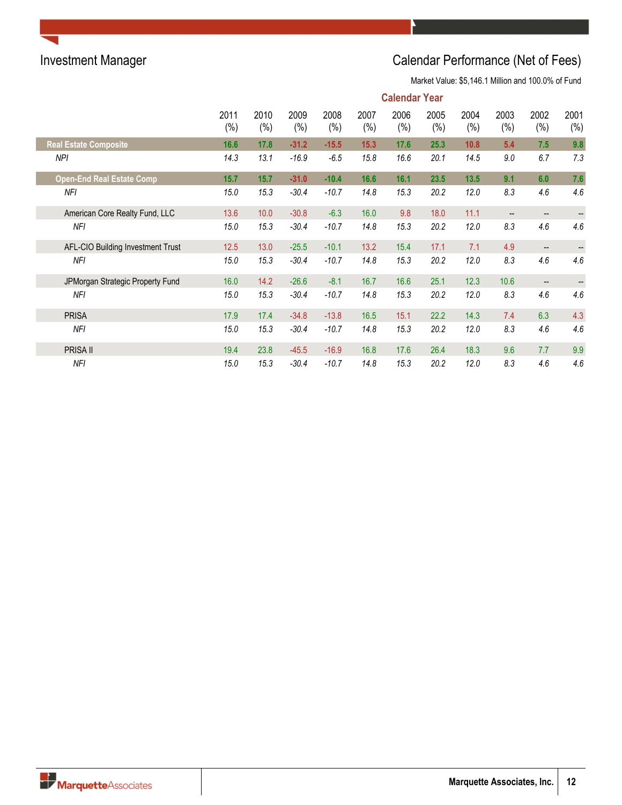|                                   | <b>Calendar Year</b> |                |             |             |             |                |             |                |                |             |                 |  |  |
|-----------------------------------|----------------------|----------------|-------------|-------------|-------------|----------------|-------------|----------------|----------------|-------------|-----------------|--|--|
|                                   | 2011<br>(%)          | 2010<br>$(\%)$ | 2009<br>(%) | 2008<br>(%) | 2007<br>(%) | 2006<br>$(\%)$ | 2005<br>(%) | 2004<br>$(\%)$ | 2003<br>$(\%)$ | 2002<br>(%) | 2001<br>$(\% )$ |  |  |
| <b>Real Estate Composite</b>      | 16.6                 | 17.8           | $-31.2$     | $-15.5$     | 15.3        | 17.6           | 25.3        | 10.8           | 5.4            | 7.5         | 9.8             |  |  |
| NPI                               | 14.3                 | 13.1           | $-16.9$     | $-6.5$      | 15.8        | 16.6           | 20.1        | 14.5           | 9.0            | 6.7         | 7.3             |  |  |
| <b>Open-End Real Estate Comp</b>  | 15.7                 | 15.7           | $-31.0$     | $-10.4$     | 16.6        | 16.1           | 23.5        | 13.5           | 9.1            | 6.0         | 7.6             |  |  |
| NFI                               | 15.0                 | 15.3           | $-30.4$     | $-10.7$     | 14.8        | 15.3           | 20.2        | 12.0           | 8.3            | 4.6         | 4.6             |  |  |
| American Core Realty Fund, LLC    | 13.6                 | 10.0           | $-30.8$     | $-6.3$      | 16.0        | 9.8            | 18.0        | 11.1           |                | --          | --              |  |  |
| <b>NFI</b>                        | 15.0                 | 15.3           | $-30.4$     | $-10.7$     | 14.8        | 15.3           | 20.2        | 12.0           | 8.3            | 4.6         | 4.6             |  |  |
| AFL-CIO Building Investment Trust | 12.5                 | 13.0           | $-25.5$     | $-10.1$     | 13.2        | 15.4           | 17.1        | 7.1            | 4.9            | --          |                 |  |  |
| NFI                               | 15.0                 | 15.3           | $-30.4$     | $-10.7$     | 14.8        | 15.3           | 20.2        | 12.0           | 8.3            | 4.6         | 4.6             |  |  |
| JPMorgan Strategic Property Fund  | 16.0                 | 14.2           | $-26.6$     | $-8.1$      | 16.7        | 16.6           | 25.1        | 12.3           | 10.6           | --          |                 |  |  |
| <b>NFI</b>                        | 15.0                 | 15.3           | $-30.4$     | $-10.7$     | 14.8        | 15.3           | 20.2        | 12.0           | 8.3            | 4.6         | 4.6             |  |  |
| <b>PRISA</b>                      | 17.9                 | 17.4           | $-34.8$     | $-13.8$     | 16.5        | 15.1           | 22.2        | 14.3           | 7.4            | 6.3         | 4.3             |  |  |
| <b>NFI</b>                        | 15.0                 | 15.3           | $-30.4$     | $-10.7$     | 14.8        | 15.3           | 20.2        | 12.0           | 8.3            | 4.6         | 4.6             |  |  |
| PRISA II                          | 19.4                 | 23.8           | $-45.5$     | $-16.9$     | 16.8        | 17.6           | 26.4        | 18.3           | 9.6            | 7.7         | 9.9             |  |  |
| <b>NFI</b>                        | 15.0                 | 15.3           | $-30.4$     | $-10.7$     | 14.8        | 15.3           | 20.2        | 12.0           | 8.3            | 4.6         | 4.6             |  |  |